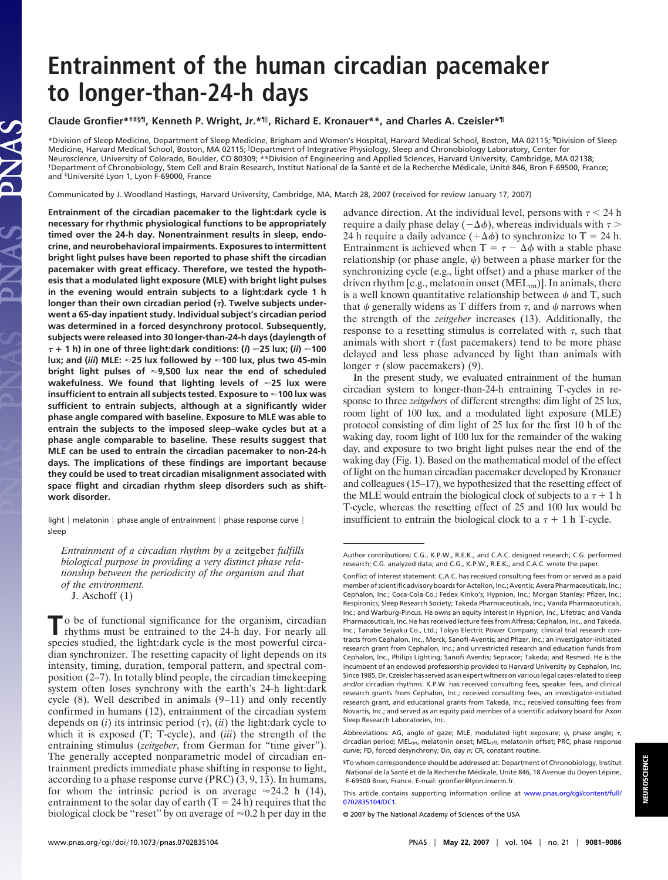# **Entrainment of the human circadian pacemaker to longer-than-24-h days**

# **Claude Gronfier\*†‡§¶, Kenneth P. Wright, Jr.\*¶ , Richard E. Kronauer\*\*, and Charles A. Czeisler\*¶**

\*Division of Sleep Medicine, Department of Sleep Medicine, Brigham and Women's Hospital, Harvard Medical School, Boston, MA 02115; ¶Division of Sleep Medicine, Harvard Medical School, Boston, MA 02115; Department of Integrative Physiology, Sleep and Chronobiology Laboratory, Center for Neuroscience, University of Colorado, Boulder, CO 80309; \*\*Division of Engineering and Applied Sciences, Harvard University, Cambridge, MA 02138; <sup>†</sup>Department of Chronobiology, Stem Cell and Brain Research, Institut National de la Santé et de la Recherche Médicale, Unité 846, Bron F-69500, France; and <sup>‡</sup>Université Lyon 1, Lyon F-69000, France

Communicated by J. Woodland Hastings, Harvard University, Cambridge, MA, March 28, 2007 (received for review January 17, 2007)

**Entrainment of the circadian pacemaker to the light:dark cycle is necessary for rhythmic physiological functions to be appropriately timed over the 24-h day. Nonentrainment results in sleep, endocrine, and neurobehavioral impairments. Exposures to intermittent bright light pulses have been reported to phase shift the circadian pacemaker with great efficacy. Therefore, we tested the hypothesis that a modulated light exposure (MLE) with bright light pulses in the evening would entrain subjects to a light:dark cycle 1 h longer than their own circadian period (). Twelve subjects underwent a 65-day inpatient study. Individual subject's circadian period was determined in a forced desynchrony protocol. Subsequently, subjects were released into 30 longer-than-24-h days (daylength of** - **1 h) in one of three light:dark conditions: (***i***) 25 lux; (***ii***) 100 lux; and (***iii***) MLE: 25 lux followed by 100 lux, plus two 45-min bright light pulses of 9,500 lux near the end of scheduled wakefulness. We found that lighting levels of 25 lux were insufficient to entrain all subjects tested. Exposure to 100 lux was sufficient to entrain subjects, although at a significantly wider phase angle compared with baseline. Exposure to MLE was able to entrain the subjects to the imposed sleep–wake cycles but at a phase angle comparable to baseline. These results suggest that MLE can be used to entrain the circadian pacemaker to non-24-h days. The implications of these findings are important because they could be used to treat circadian misalignment associated with space flight and circadian rhythm sleep disorders such as shiftwork disorder.**

light  $|$  melatonin  $|$  phase angle of entrainment  $|$  phase response curve  $|$ sleep

*Entrainment of a circadian rhythm by a* zeitgeber *fulfills biological purpose in providing a very distinct phase relationship between the periodicity of the organism and that of the environment.*

J. Aschoff (1)

To be of functional significance for the organism, circadian rhythms must be entrained to the 24-h day. For nearly all species studied, the light:dark cycle is the most powerful circadian synchronizer. The resetting capacity of light depends on its intensity, timing, duration, temporal pattern, and spectral composition (2–7). In totally blind people, the circadian timekeeping system often loses synchrony with the earth's 24-h light:dark cycle (8). Well described in animals (9–11) and only recently confirmed in humans (12), entrainment of the circadian system depends on  $(i)$  its intrinsic period  $(\tau)$ ,  $(ii)$  the light:dark cycle to which it is exposed (T; T-cycle), and (*iii*) the strength of the entraining stimulus (*zeitgeber*, from German for "time giver"). The generally accepted nonparametric model of circadian entrainment predicts immediate phase shifting in response to light, according to a phase response curve (PRC) (3, 9, 13). In humans, for whom the intrinsic period is on average  $\approx 24.2$  h (14), entrainment to the solar day of earth  $(T = 24 h)$  requires that the biological clock be "reset" by on average of  $\approx 0.2$  h per day in the

advance direction. At the individual level, persons with  $\tau$  < 24 h require a daily phase delay ( $-\Delta\phi$ ), whereas individuals with  $\tau$  > 24 h require a daily advance  $(+\Delta\phi)$  to synchronize to T = 24 h. Entrainment is achieved when  $T = \tau - \Delta \phi$  with a stable phase relationship (or phase angle,  $\psi$ ) between a phase marker for the synchronizing cycle (e.g., light offset) and a phase marker of the driven rhythm [e.g., melatonin onset  $(MEL_{on})$ ]. In animals, there is a well known quantitative relationship between  $\psi$  and T, such that  $\psi$  generally widens as T differs from  $\tau$ , and  $\psi$  narrows when the strength of the *zeitgeber* increases (13). Additionally, the response to a resetting stimulus is correlated with  $\tau$ , such that animals with short  $\tau$  (fast pacemakers) tend to be more phase delayed and less phase advanced by light than animals with longer  $\tau$  (slow pacemakers) (9).

In the present study, we evaluated entrainment of the human circadian system to longer-than-24-h entraining T-cycles in response to three *zeitgebers* of different strengths: dim light of 25 lux, room light of 100 lux, and a modulated light exposure (MLE) protocol consisting of dim light of 25 lux for the first 10 h of the waking day, room light of 100 lux for the remainder of the waking day, and exposure to two bright light pulses near the end of the waking day (Fig. 1). Based on the mathematical model of the effect of light on the human circadian pacemaker developed by Kronauer and colleagues (15–17), we hypothesized that the resetting effect of the MLE would entrain the biological clock of subjects to a  $\tau + 1$  h T-cycle, whereas the resetting effect of 25 and 100 lux would be insufficient to entrain the biological clock to a  $\tau$  + 1 h T-cycle.

Author contributions: C.G., K.P.W., R.E.K., and C.A.C. designed research; C.G. performed research; C.G. analyzed data; and C.G., K.P.W., R.E.K., and C.A.C. wrote the paper.

Conflict of interest statement: C.A.C. has received consulting fees from or served as a paid member of scientific advisory boards for Actelion, Inc.; Aventis; Avera Pharmaceuticals, Inc.; Cephalon, Inc.; Coca-Cola Co.; Fedex Kinko's; Hypnion, Inc.; Morgan Stanley; Pfizer, Inc.; Respironics; Sleep Research Society; Takeda Pharmaceuticals, Inc.; Vanda Pharmaceuticals, Inc.; and Warburg-Pincus. He owns an equity interest in Hypnion, Inc., Lifetrac; and Vanda Pharmaceuticals, Inc. He has received lecture fees from Alfresa; Cephalon, Inc., and Takeda, Inc.; Tanabe Seiyaku Co., Ltd.; Tokyo Electric Power Company; clinical trial research contracts from Cephalon, Inc., Merck, Sanofi-Aventis; and Pfizer, Inc.; an investigator-initiated research grant from Cephalon, Inc.; and unrestricted research and education funds from Cephalon, Inc., Philips Lighting; Sanofi Aventis; Sepracor; Takeda; and Resmed. He is the incumbent of an endowed professorship provided to Harvard University by Cephalon, Inc. Since 1985, Dr. Czeisler has served as an expert witness on various legal cases related to sleep and/or circadian rhythms. K.P.W. has received consulting fees, speaker fees, and clinical research grants from Cephalon, Inc.; received consulting fees, an investigator-initiated research grant, and educational grants from Takeda, Inc.; received consulting fees from Novartis, Inc.; and served as an equity paid member of a scientific advisory board for Axon Sleep Research Laboratories, Inc.

Abbreviations: AG, angle of gaze; MLE, modulated light exposure;  $\psi$ , phase angle;  $\tau$ , circadian period; MELon, melatonin onset; MELoff, melatonin offset; PRC, phase response curve; FD, forced desynchrony; D*n*, day *n*; CR, constant routine.

<sup>§</sup>To whom correspondence should be addressed at: Department of Chronobiology, Institut National de la Santé et de la Recherche Médicale, Unité 846, 18 Avenue du Doyen Lépine, F-69500 Bron, France. E-mail: gronfier@lyon.inserm.fr.

This article contains supporting information online at [www.pnas.org/cgi/content/full/](http://www.pnas.org/cgi/content/full/0702835104/DC1) [0702835104/DC1.](http://www.pnas.org/cgi/content/full/0702835104/DC1)

<sup>© 2007</sup> by The National Academy of Sciences of the USA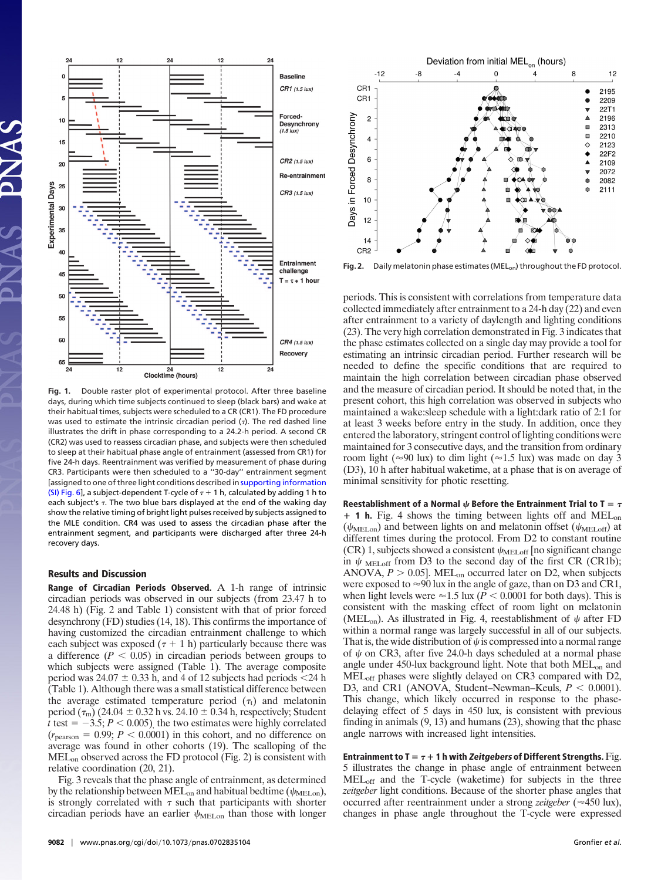

**Fig. 1.** Double raster plot of experimental protocol. After three baseline days, during which time subjects continued to sleep (black bars) and wake at their habitual times, subjects were scheduled to a CR (CR1). The FD procedure was used to estimate the intrinsic circadian period  $(7)$ . The red dashed line illustrates the drift in phase corresponding to a 24.2-h period. A second CR (CR2) was used to reassess circadian phase, and subjects were then scheduled to sleep at their habitual phase angle of entrainment (assessed from CR1) for five 24-h days. Reentrainment was verified by measurement of phase during CR3. Participants were then scheduled to a ''30-day'' entrainment segment [assigned to one of three light conditions described in [supporting information](http://www.pnas.org/cgi/content/full/0702835104/DC1) [\(SI\) Fig. 6\]](http://www.pnas.org/cgi/content/full/0702835104/DC1), a subject-dependent T-cycle of  $\tau$  + 1 h, calculated by adding 1 h to each subject's  $\tau$ . The two blue bars displayed at the end of the waking day show the relative timing of bright light pulses received by subjects assigned to the MLE condition. CR4 was used to assess the circadian phase after the entrainment segment, and participants were discharged after three 24-h recovery days.

## **Results and Discussion**

**Range of Circadian Periods Observed.** A 1-h range of intrinsic circadian periods was observed in our subjects (from 23.47 h to 24.48 h) (Fig. 2 and Table 1) consistent with that of prior forced desynchrony (FD) studies (14, 18). This confirms the importance of having customized the circadian entrainment challenge to which each subject was exposed  $(\tau + 1 h)$  particularly because there was a difference  $(P < 0.05)$  in circadian periods between groups to which subjects were assigned (Table 1). The average composite period was  $24.07 \pm 0.33$  h, and 4 of 12 subjects had periods <24 h (Table 1). Although there was a small statistical difference between the average estimated temperature period  $(\tau_t)$  and melatonin period  $(\tau_m)$  (24.04  $\pm$  0.32 h vs. 24.10  $\pm$  0.34 h, respectively; Student *t* test  $= -3.5; P \leq 0.005$ , the two estimates were highly correlated  $(r_{\text{pearson}} = 0.99; P < 0.0001)$  in this cohort, and no difference on average was found in other cohorts (19). The scalloping of the MELon observed across the FD protocol (Fig. 2) is consistent with relative coordination (20, 21).

Fig. 3 reveals that the phase angle of entrainment, as determined by the relationship between MEL<sub>on</sub> and habitual bedtime ( $\psi_{\text{MELon}}$ ), is strongly correlated with  $\tau$  such that participants with shorter circadian periods have an earlier  $\psi_{\text{MELon}}$  than those with longer



Fig. 2. Daily melatonin phase estimates (MEL<sub>on</sub>) throughout the FD protocol.

periods. This is consistent with correlations from temperature data collected immediately after entrainment to a 24-h day (22) and even after entrainment to a variety of daylength and lighting conditions (23). The very high correlation demonstrated in Fig. 3 indicates that the phase estimates collected on a single day may provide a tool for estimating an intrinsic circadian period. Further research will be needed to define the specific conditions that are required to maintain the high correlation between circadian phase observed and the measure of circadian period. It should be noted that, in the present cohort, this high correlation was observed in subjects who maintained a wake:sleep schedule with a light:dark ratio of 2:1 for at least 3 weeks before entry in the study. In addition, once they entered the laboratory, stringent control of lighting conditions were maintained for 3 consecutive days, and the transition from ordinary room light ( $\approx$ 90 lux) to dim light ( $\approx$ 1.5 lux) was made on day 3 (D3), 10 h after habitual waketime, at a phase that is on average of minimal sensitivity for photic resetting.

**Reestablishment of a Normal**  $\psi$  **Before the Entrainment Trial to T =**  $\tau$ - **1 h.** Fig. 4 shows the timing between lights off and MELon  $(\psi_{\text{MELon}})$  and between lights on and melatonin offset  $(\psi_{\text{MELoff}})$  at different times during the protocol. From D2 to constant routine (CR) 1, subjects showed a consistent  $\psi_{\text{MELoff}}$  [no significant change in  $\psi$  MELoff from D3 to the second day of the first CR (CR1b); ANOVA,  $P > 0.05$ ]. MEL<sub>on</sub> occurred later on D2, when subjects were exposed to  $\approx 90$  lux in the angle of gaze, than on D3 and CR1, when light levels were  $\approx$  1.5 lux ( $\overline{P}$  < 0.0001 for both days). This is consistent with the masking effect of room light on melatonin (MEL<sub>on</sub>). As illustrated in Fig. 4, reestablishment of  $\psi$  after FD within a normal range was largely successful in all of our subjects. That is, the wide distribution of  $\psi$  is compressed into a normal range of  $\psi$  on CR3, after five 24.0-h days scheduled at a normal phase angle under 450-lux background light. Note that both MEL<sub>on</sub> and MELoff phases were slightly delayed on CR3 compared with D2, D3, and CR1 (ANOVA, Student–Newman–Keuls,  $P < 0.0001$ ). This change, which likely occurred in response to the phasedelaying effect of 5 days in 450 lux, is consistent with previous finding in animals (9, 13) and humans (23), showing that the phase angle narrows with increased light intensities.

**Entrainment to T** =  $\tau$  + 1 h with *Zeitgebers* of Different Strengths. Fig. 5 illustrates the change in phase angle of entrainment between MELoff and the T-cycle (waketime) for subjects in the three *zeitgeber* light conditions. Because of the shorter phase angles that occurred after reentrainment under a strong *zeitgeber* ( $\approx$  450 lux), changes in phase angle throughout the T-cycle were expressed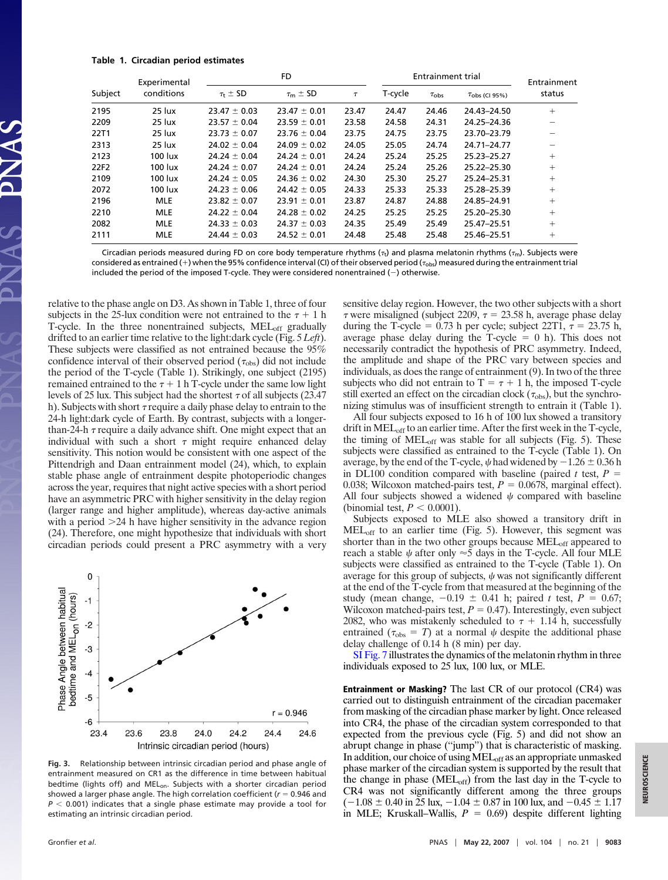#### **Table 1. Circadian period estimates**

| Subject | Experimental<br>conditions | FD.                   |                       |        | <b>Entrainment trial</b> |                  |               | Entrainment |
|---------|----------------------------|-----------------------|-----------------------|--------|--------------------------|------------------|---------------|-------------|
|         |                            | $\tau_{\rm t} \pm$ SD | $\tau_{\rm m} \pm$ SD | $\tau$ | T-cycle                  | $\tau_{\rm obs}$ | Tobs (CI 95%) | status      |
| 2195    | 25 lux                     | $23.47 \pm 0.03$      | $23.47 \pm 0.01$      | 23.47  | 24.47                    | 24.46            | 24.43-24.50   | $+$         |
| 2209    | 25 lux                     | $23.57 \pm 0.04$      | $23.59 \pm 0.01$      | 23.58  | 24.58                    | 24.31            | 24.25-24.36   |             |
| 22T1    | 25 lux                     | $23.73 \pm 0.07$      | $23.76 \pm 0.04$      | 23.75  | 24.75                    | 23.75            | 23.70-23.79   |             |
| 2313    | 25 lux                     | $24.02 \pm 0.04$      | $24.09 \pm 0.02$      | 24.05  | 25.05                    | 24.74            | 24.71-24.77   |             |
| 2123    | $100$ lux                  | $24.24 \pm 0.04$      | $24.24 \pm 0.01$      | 24.24  | 25.24                    | 25.25            | 25.23-25.27   | $+$         |
| 22F2    | 100 lux                    | $24.24 \pm 0.07$      | $24.24 \pm 0.01$      | 24.24  | 25.24                    | 25.26            | 25.22-25.30   | $+$         |
| 2109    | 100 lux                    | $24.24 \pm 0.05$      | $24.36 \pm 0.02$      | 24.30  | 25.30                    | 25.27            | 25.24-25.31   | $+$         |
| 2072    | 100 lux                    | $24.23 \pm 0.06$      | $24.42 \pm 0.05$      | 24.33  | 25.33                    | 25.33            | 25.28-25.39   | $+$         |
| 2196    | <b>MLE</b>                 | $23.82 \pm 0.07$      | $23.91 \pm 0.01$      | 23.87  | 24.87                    | 24.88            | 24.85-24.91   | $+$         |
| 2210    | <b>MLE</b>                 | $24.22 \pm 0.04$      | $24.28 \pm 0.02$      | 24.25  | 25.25                    | 25.25            | 25.20-25.30   | $^{+}$      |
| 2082    | <b>MLE</b>                 | $24.33 \pm 0.03$      | $24.37 \pm 0.03$      | 24.35  | 25.49                    | 25.49            | 25.47-25.51   | $+$         |
| 2111    | <b>MLE</b>                 | $24.44 \pm 0.03$      | $24.52 \pm 0.01$      | 24.48  | 25.48                    | 25.48            | 25.46-25.51   | $+$         |

Circadian periods measured during FD on core body temperature rhythms  $(\tau_t)$  and plasma melatonin rhythms  $(\tau_m)$ . Subjects were considered as entrained (+) when the 95% confidence interval (CI) of their observed period ( $\tau_{obs}$ ) measured during the entrainment trial included the period of the imposed T-cycle. They were considered nonentrained  $(-)$  otherwise.

relative to the phase angle on D3. As shown in Table 1, three of four subjects in the 25-lux condition were not entrained to the  $\tau + 1$  h T-cycle. In the three nonentrained subjects, MEL<sub>off</sub> gradually drifted to an earlier time relative to the light:dark cycle (Fig. 5 *Left*). These subjects were classified as not entrained because the 95% confidence interval of their observed period  $(\tau_{obs})$  did not include the period of the T-cycle (Table 1). Strikingly, one subject (2195) remained entrained to the  $\tau$  + 1 h T-cycle under the same low light levels of 25 lux. This subject had the shortest  $\tau$  of all subjects (23.47 h). Subjects with short  $\tau$  require a daily phase delay to entrain to the 24-h light:dark cycle of Earth. By contrast, subjects with a longerthan-24-h  $\tau$  require a daily advance shift. One might expect that an individual with such a short  $\tau$  might require enhanced delay sensitivity. This notion would be consistent with one aspect of the Pittendrigh and Daan entrainment model (24), which, to explain stable phase angle of entrainment despite photoperiodic changes across the year, requires that night active species with a short period have an asymmetric PRC with higher sensitivity in the delay region (larger range and higher amplitude), whereas day-active animals with a period  $>24$  h have higher sensitivity in the advance region (24). Therefore, one might hypothesize that individuals with short circadian periods could present a PRC asymmetry with a very



**Fig. 3.** Relationship between intrinsic circadian period and phase angle of entrainment measured on CR1 as the difference in time between habitual bedtime (lights off) and MEL<sub>on</sub>. Subjects with a shorter circadian period showed a larger phase angle. The high correlation coefficient (*r* = 0.946 and  $P < 0.001$ ) indicates that a single phase estimate may provide a tool for estimating an intrinsic circadian period.

sensitive delay region. However, the two other subjects with a short  $\tau$  were misaligned (subject 2209,  $\tau = 23.58$  h, average phase delay during the T-cycle = 0.73 h per cycle; subject  $22T1$ ,  $\tau = 23.75$  h, average phase delay during the T-cycle  $= 0$  h). This does not necessarily contradict the hypothesis of PRC asymmetry. Indeed, the amplitude and shape of the PRC vary between species and individuals, as does the range of entrainment (9). In two of the three subjects who did not entrain to  $T = \tau + 1$  h, the imposed T-cycle still exerted an effect on the circadian clock  $(\tau_{obs})$ , but the synchronizing stimulus was of insufficient strength to entrain it (Table 1).

All four subjects exposed to 16 h of 100 lux showed a transitory drift in MEL<sub>off</sub> to an earlier time. After the first week in the T-cycle, the timing of  $MEL_{off}$  was stable for all subjects (Fig. 5). These subjects were classified as entrained to the T-cycle (Table 1). On average, by the end of the T-cycle,  $\psi$  had widened by  $-1.26 \pm 0.36$  h in DL100 condition compared with baseline (paired  $t$  test,  $P =$ 0.038; Wilcoxon matched-pairs test,  $P = 0.0678$ , marginal effect). All four subjects showed a widened  $\psi$  compared with baseline (binomial test,  $P < 0.0001$ ).

Subjects exposed to MLE also showed a transitory drift in  $MEL_{off}$  to an earlier time (Fig. 5). However, this segment was shorter than in the two other groups because  $MEL<sub>off</sub>$  appeared to reach a stable  $\psi$  after only  $\approx$  5 days in the T-cycle. All four MLE subjects were classified as entrained to the T-cycle (Table 1). On average for this group of subjects,  $\psi$  was not significantly different at the end of the T-cycle from that measured at the beginning of the study (mean change,  $-0.19 \pm 0.41$  h; paired *t* test,  $P = 0.67$ ; Wilcoxon matched-pairs test,  $P = 0.47$ ). Interestingly, even subject 2082, who was mistakenly scheduled to  $\tau$  + 1.14 h, successfully entrained ( $\tau_{obs} = T$ ) at a normal  $\psi$  despite the additional phase delay challenge of 0.14 h (8 min) per day.

[SI Fig. 7](http://www.pnas.org/cgi/content/full/0702835104/DC1) illustrates the dynamics of the melatonin rhythm in three individuals exposed to 25 lux, 100 lux, or MLE.

**Entrainment or Masking?** The last CR of our protocol (CR4) was carried out to distinguish entrainment of the circadian pacemaker from masking of the circadian phase marker by light. Once released into CR4, the phase of the circadian system corresponded to that expected from the previous cycle (Fig. 5) and did not show an abrupt change in phase (''jump'') that is characteristic of masking. In addition, our choice of using MEL<sub>off</sub> as an appropriate unmasked phase marker of the circadian system is supported by the result that the change in phase  $(MEL_{off})$  from the last day in the T-cycle to CR4 was not significantly different among the three groups  $(-1.08 \pm 0.40$  in 25 lux,  $-1.04 \pm 0.87$  in 100 lux, and  $-0.45 \pm 1.17$ in MLE; Kruskall–Wallis,  $P = 0.69$ ) despite different lighting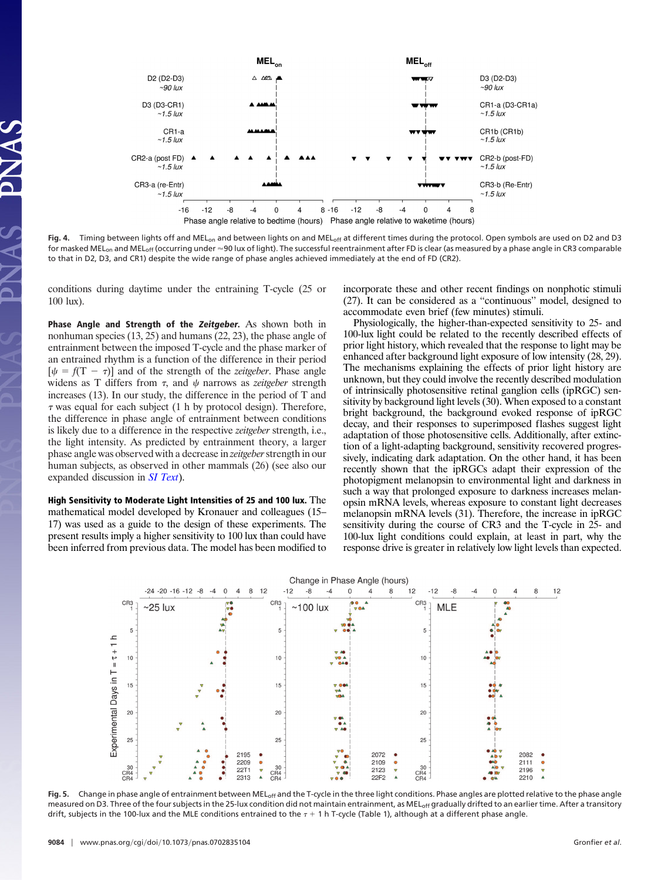

Fig. 4. Timing between lights off and MEL<sub>on</sub> and between lights on and MEL<sub>off</sub> at different times during the protocol. Open symbols are used on D2 and D3 for masked MEL<sub>on</sub> and MEL<sub>off</sub> (occurring under  $\approx$ 90 lux of light). The successful reentrainment after FD is clear (as measured by a phase angle in CR3 comparable to that in D2, D3, and CR1) despite the wide range of phase angles achieved immediately at the end of FD (CR2).

conditions during daytime under the entraining T-cycle (25 or 100 lux).

**Phase Angle and Strength of the Zeitgeber.** As shown both in nonhuman species (13, 25) and humans (22, 23), the phase angle of entrainment between the imposed T-cycle and the phase marker of an entrained rhythm is a function of the difference in their period  $[\psi = f(T - \tau)]$  and of the strength of the *zeitgeber*. Phase angle widens as T differs from  $\tau$ , and  $\psi$  narrows as *zeitgeber* strength increases (13). In our study, the difference in the period of T and  $\tau$  was equal for each subject (1 h by protocol design). Therefore, the difference in phase angle of entrainment between conditions is likely due to a difference in the respective *zeitgeber* strength, i.e., the light intensity. As predicted by entrainment theory, a larger phase angle was observed with a decrease in *zeitgeber*strength in our human subjects, as observed in other mammals (26) (see also our expanded discussion in *[SI Text](http://www.pnas.org/cgi/content/full/0702835104/DC1)*).

**High Sensitivity to Moderate Light Intensities of 25 and 100 lux.** The mathematical model developed by Kronauer and colleagues (15– 17) was used as a guide to the design of these experiments. The present results imply a higher sensitivity to 100 lux than could have been inferred from previous data. The model has been modified to incorporate these and other recent findings on nonphotic stimuli (27). It can be considered as a ''continuous'' model, designed to accommodate even brief (few minutes) stimuli.

Physiologically, the higher-than-expected sensitivity to 25- and 100-lux light could be related to the recently described effects of prior light history, which revealed that the response to light may be enhanced after background light exposure of low intensity (28, 29). The mechanisms explaining the effects of prior light history are unknown, but they could involve the recently described modulation of intrinsically photosensitive retinal ganglion cells (ipRGC) sensitivity by background light levels (30). When exposed to a constant bright background, the background evoked response of ipRGC decay, and their responses to superimposed flashes suggest light adaptation of those photosensitive cells. Additionally, after extinction of a light-adapting background, sensitivity recovered progressively, indicating dark adaptation. On the other hand, it has been recently shown that the ipRGCs adapt their expression of the photopigment melanopsin to environmental light and darkness in such a way that prolonged exposure to darkness increases melanopsin mRNA levels, whereas exposure to constant light decreases melanopsin mRNA levels (31). Therefore, the increase in ipRGC sensitivity during the course of CR3 and the T-cycle in 25- and 100-lux light conditions could explain, at least in part, why the response drive is greater in relatively low light levels than expected.



Fig. 5. Change in phase angle of entrainment between MEL<sub>off</sub> and the T-cycle in the three light conditions. Phase angles are plotted relative to the phase angle measured on D3. Three of the four subjects in the 25-lux condition did not maintain entrainment, as MEL<sub>off</sub> gradually drifted to an earlier time. After a transitory drift, subjects in the 100-lux and the MLE conditions entrained to the  $\tau$  + 1 h T-cycle (Table 1), although at a different phase angle.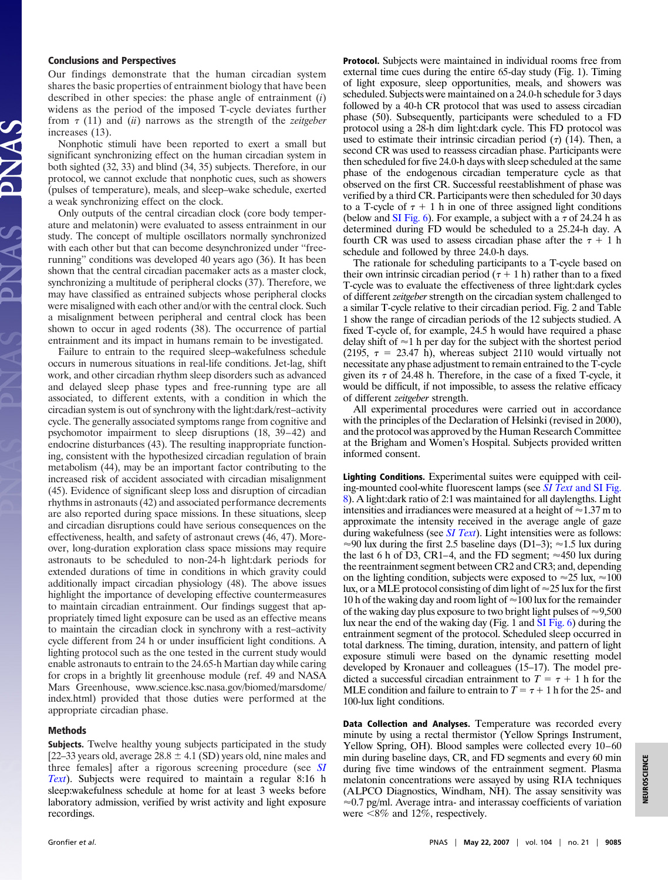## **Conclusions and Perspectives**

Our findings demonstrate that the human circadian system shares the basic properties of entrainment biology that have been described in other species: the phase angle of entrainment (*i*) widens as the period of the imposed T-cycle deviates further from  $\tau$  (11) and *(ii)* narrows as the strength of the *zeitgeber* increases (13).

Nonphotic stimuli have been reported to exert a small but significant synchronizing effect on the human circadian system in both sighted (32, 33) and blind (34, 35) subjects. Therefore, in our protocol, we cannot exclude that nonphotic cues, such as showers (pulses of temperature), meals, and sleep–wake schedule, exerted a weak synchronizing effect on the clock.

Only outputs of the central circadian clock (core body temperature and melatonin) were evaluated to assess entrainment in our study. The concept of multiple oscillators normally synchronized with each other but that can become desynchronized under ''freerunning'' conditions was developed 40 years ago (36). It has been shown that the central circadian pacemaker acts as a master clock, synchronizing a multitude of peripheral clocks (37). Therefore, we may have classified as entrained subjects whose peripheral clocks were misaligned with each other and/or with the central clock. Such a misalignment between peripheral and central clock has been shown to occur in aged rodents (38). The occurrence of partial entrainment and its impact in humans remain to be investigated.

Failure to entrain to the required sleep–wakefulness schedule occurs in numerous situations in real-life conditions. Jet-lag, shift work, and other circadian rhythm sleep disorders such as advanced and delayed sleep phase types and free-running type are all associated, to different extents, with a condition in which the circadian system is out of synchrony with the light:dark/rest–activity cycle. The generally associated symptoms range from cognitive and psychomotor impairment to sleep disruptions (18, 39–42) and endocrine disturbances (43). The resulting inappropriate functioning, consistent with the hypothesized circadian regulation of brain metabolism (44), may be an important factor contributing to the increased risk of accident associated with circadian misalignment (45). Evidence of significant sleep loss and disruption of circadian rhythms in astronauts (42) and associated performance decrements are also reported during space missions. In these situations, sleep and circadian disruptions could have serious consequences on the effectiveness, health, and safety of astronaut crews (46, 47). Moreover, long-duration exploration class space missions may require astronauts to be scheduled to non-24-h light:dark periods for extended durations of time in conditions in which gravity could additionally impact circadian physiology (48). The above issues highlight the importance of developing effective countermeasures to maintain circadian entrainment. Our findings suggest that appropriately timed light exposure can be used as an effective means to maintain the circadian clock in synchrony with a rest–activity cycle different from 24 h or under insufficient light conditions. A lighting protocol such as the one tested in the current study would enable astronauts to entrain to the 24.65-h Martian day while caring for crops in a brightly lit greenhouse module (ref. 49 and NASA Mars Greenhouse, www.science.ksc.nasa.gov/biomed/marsdome/ index.html) provided that those duties were performed at the appropriate circadian phase.

### **Methods**

**Subjects.** Twelve healthy young subjects participated in the study [22–33 years old, average  $28.8 \pm 4.1$  (SD) years old, nine males and three females] after a rigorous screening procedure (see *[SI](http://www.pnas.org/cgi/content/full/0702835104/DC1) [Text](http://www.pnas.org/cgi/content/full/0702835104/DC1)*). Subjects were required to maintain a regular 8:16 h sleep:wakefulness schedule at home for at least 3 weeks before laboratory admission, verified by wrist activity and light exposure recordings.

**Protocol.** Subjects were maintained in individual rooms free from external time cues during the entire 65-day study (Fig. 1). Timing of light exposure, sleep opportunities, meals, and showers was scheduled. Subjects were maintained on a 24.0-h schedule for 3 days followed by a 40-h CR protocol that was used to assess circadian phase (50). Subsequently, participants were scheduled to a FD protocol using a 28-h dim light:dark cycle. This FD protocol was used to estimate their intrinsic circadian period  $(\tau)$  (14). Then, a second CR was used to reassess circadian phase. Participants were then scheduled for five 24.0-h days with sleep scheduled at the same phase of the endogenous circadian temperature cycle as that observed on the first CR. Successful reestablishment of phase was verified by a third CR. Participants were then scheduled for 30 days to a T-cycle of  $\tau$  + 1 h in one of three assigned light conditions (below and [SI Fig. 6\)](http://www.pnas.org/cgi/content/full/0702835104/DC1). For example, a subject with a  $\tau$  of 24.24 h as determined during FD would be scheduled to a 25.24-h day. A fourth CR was used to assess circadian phase after the  $\tau + 1$  h schedule and followed by three 24.0-h days.

The rationale for scheduling participants to a T-cycle based on their own intrinsic circadian period  $(\tau + 1 h)$  rather than to a fixed T-cycle was to evaluate the effectiveness of three light:dark cycles of different *zeitgeber* strength on the circadian system challenged to a similar T-cycle relative to their circadian period. Fig. 2 and Table 1 show the range of circadian periods of the 12 subjects studied. A fixed T-cycle of, for example, 24.5 h would have required a phase delay shift of  $\approx$  1 h per day for the subject with the shortest period (2195,  $\tau = 23.47$  h), whereas subject 2110 would virtually not necessitate any phase adjustment to remain entrained to the T-cycle given its  $\tau$  of 24.48 h. Therefore, in the case of a fixed T-cycle, it would be difficult, if not impossible, to assess the relative efficacy of different *zeitgeber* strength.

All experimental procedures were carried out in accordance with the principles of the Declaration of Helsinki (revised in 2000), and the protocol was approved by the Human Research Committee at the Brigham and Women's Hospital. Subjects provided written informed consent.

**Lighting Conditions.** Experimental suites were equipped with ceiling-mounted cool-white fluorescent lamps (see *SI Text* [and SI Fig.](http://www.pnas.org/cgi/content/full/0702835104/DC1) [8\)](http://www.pnas.org/cgi/content/full/0702835104/DC1). A light:dark ratio of 2:1 was maintained for all daylengths. Light intensities and irradiances were measured at a height of  $\approx$  1.37 m to approximate the intensity received in the average angle of gaze during wakefulness (see *[SI Text](http://www.pnas.org/cgi/content/full/0702835104/DC1)*). Light intensities were as follows:  $\approx$ 90 lux during the first 2.5 baseline days (D1–3);  $\approx$ 1.5 lux during the last 6 h of D3, CR1–4, and the FD segment;  $\approx$ 450 lux during the reentrainment segment between CR2 and CR3; and, depending on the lighting condition, subjects were exposed to  $\approx 25$  lux,  $\approx 100$ lux, or a MLE protocol consisting of dim light of  $\approx$  25 lux for the first 10 h of the waking day and room light of  $\approx$  100 lux for the remainder of the waking day plus exposure to two bright light pulses of  $\approx 9,500$ lux near the end of the waking day (Fig. 1 and [SI Fig. 6\)](http://www.pnas.org/cgi/content/full/0702835104/DC1) during the entrainment segment of the protocol. Scheduled sleep occurred in total darkness. The timing, duration, intensity, and pattern of light exposure stimuli were based on the dynamic resetting model developed by Kronauer and colleagues (15–17). The model predicted a successful circadian entrainment to  $T = \tau + 1$  h for the MLE condition and failure to entrain to  $T = \tau + 1$  h for the 25- and 100-lux light conditions.

**Data Collection and Analyses.** Temperature was recorded every minute by using a rectal thermistor (Yellow Springs Instrument, Yellow Spring, OH). Blood samples were collected every 10–60 min during baseline days, CR, and FD segments and every 60 min during five time windows of the entrainment segment. Plasma melatonin concentrations were assayed by using RIA techniques (ALPCO Diagnostics, Windham, NH). The assay sensitivity was  $\approx 0.7$  pg/ml. Average intra- and interassay coefficients of variation were <8% and 12%, respectively.